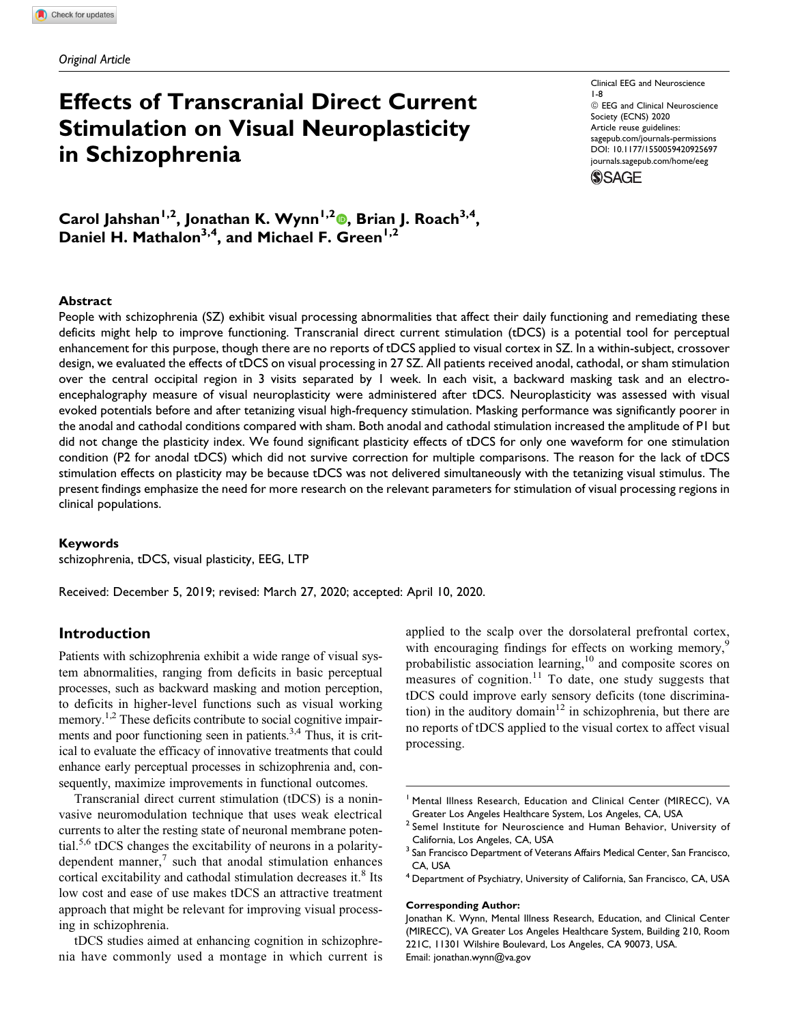# Effects of Transcranial Direct Current Stimulation on Visual Neuroplasticity in Schizophrenia

Clinical EEG and Neuroscience 1-8  $@$  EEG and Clinical Neuroscience Society (ECNS) 2020 Article reuse guidelines: [sagepub.com/journals-permissions](https://sagepub.com/journals-permissions) [DOI: 10.1177/1550059420925697](https://doi.org/10.1177/1550059420925697) [journals.sagepub.com/home/eeg](http://journals.sagepub.com/home/eeg)**SSAGE** 

Carol Jahshan<sup>1,2</sup>, Jonathan K. Wynn<sup>1,2</sup>®, Brian J. Roach<sup>3,4</sup>, Daniel H. Mathalon<sup>3,4</sup>, and Michael F. Green<sup>1,2</sup>

## Abstract

People with schizophrenia (SZ) exhibit visual processing abnormalities that affect their daily functioning and remediating these deficits might help to improve functioning. Transcranial direct current stimulation (tDCS) is a potential tool for perceptual enhancement for this purpose, though there are no reports of tDCS applied to visual cortex in SZ. In a within-subject, crossover design, we evaluated the effects of tDCS on visual processing in 27 SZ. All patients received anodal, cathodal, or sham stimulation over the central occipital region in 3 visits separated by 1 week. In each visit, a backward masking task and an electroencephalography measure of visual neuroplasticity were administered after tDCS. Neuroplasticity was assessed with visual evoked potentials before and after tetanizing visual high-frequency stimulation. Masking performance was significantly poorer in the anodal and cathodal conditions compared with sham. Both anodal and cathodal stimulation increased the amplitude of P1 but did not change the plasticity index. We found significant plasticity effects of tDCS for only one waveform for one stimulation condition (P2 for anodal tDCS) which did not survive correction for multiple comparisons. The reason for the lack of tDCS stimulation effects on plasticity may be because tDCS was not delivered simultaneously with the tetanizing visual stimulus. The present findings emphasize the need for more research on the relevant parameters for stimulation of visual processing regions in clinical populations.

#### Keywords

schizophrenia, tDCS, visual plasticity, EEG, LTP

Received: December 5, 2019; revised: March 27, 2020; accepted: April 10, 2020.

## Introduction

Patients with schizophrenia exhibit a wide range of visual system abnormalities, ranging from deficits in basic perceptual processes, such as backward masking and motion perception, to deficits in higher-level functions such as visual working memory.<sup>1,2</sup> These deficits contribute to social cognitive impairments and poor functioning seen in patients.<sup>3,4</sup> Thus, it is critical to evaluate the efficacy of innovative treatments that could enhance early perceptual processes in schizophrenia and, consequently, maximize improvements in functional outcomes.

Transcranial direct current stimulation (tDCS) is a noninvasive neuromodulation technique that uses weak electrical currents to alter the resting state of neuronal membrane potential.5,6 tDCS changes the excitability of neurons in a polaritydependent manner, $\frac{7}{1}$  such that anodal stimulation enhances cortical excitability and cathodal stimulation decreases it.<sup>8</sup> Its low cost and ease of use makes tDCS an attractive treatment approach that might be relevant for improving visual processing in schizophrenia.

tDCS studies aimed at enhancing cognition in schizophrenia have commonly used a montage in which current is applied to the scalp over the dorsolateral prefrontal cortex, with encouraging findings for effects on working memory,<sup>9</sup> probabilistic association learning,<sup>10</sup> and composite scores on measures of cognition.<sup>11</sup> To date, one study suggests that tDCS could improve early sensory deficits (tone discrimination) in the auditory domain<sup>12</sup> in schizophrenia, but there are no reports of tDCS applied to the visual cortex to affect visual processing.

#### Corresponding Author:

<sup>&</sup>lt;sup>1</sup> Mental Illness Research, Education and Clinical Center (MIRECC), VA Greater Los Angeles Healthcare System, Los Angeles, CA, USA

<sup>&</sup>lt;sup>2</sup> Semel Institute for Neuroscience and Human Behavior, University of California, Los Angeles, CA, USA

<sup>&</sup>lt;sup>3</sup> San Francisco Department of Veterans Affairs Medical Center, San Francisco, CA, USA

<sup>4</sup> Department of Psychiatry, University of California, San Francisco, CA, USA

Jonathan K. Wynn, Mental Illness Research, Education, and Clinical Center (MIRECC), VA Greater Los Angeles Healthcare System, Building 210, Room 221C, 11301 Wilshire Boulevard, Los Angeles, CA 90073, USA. Email: [jonathan.wynn@va.gov](mailto:jonathan.wynn@va.gov)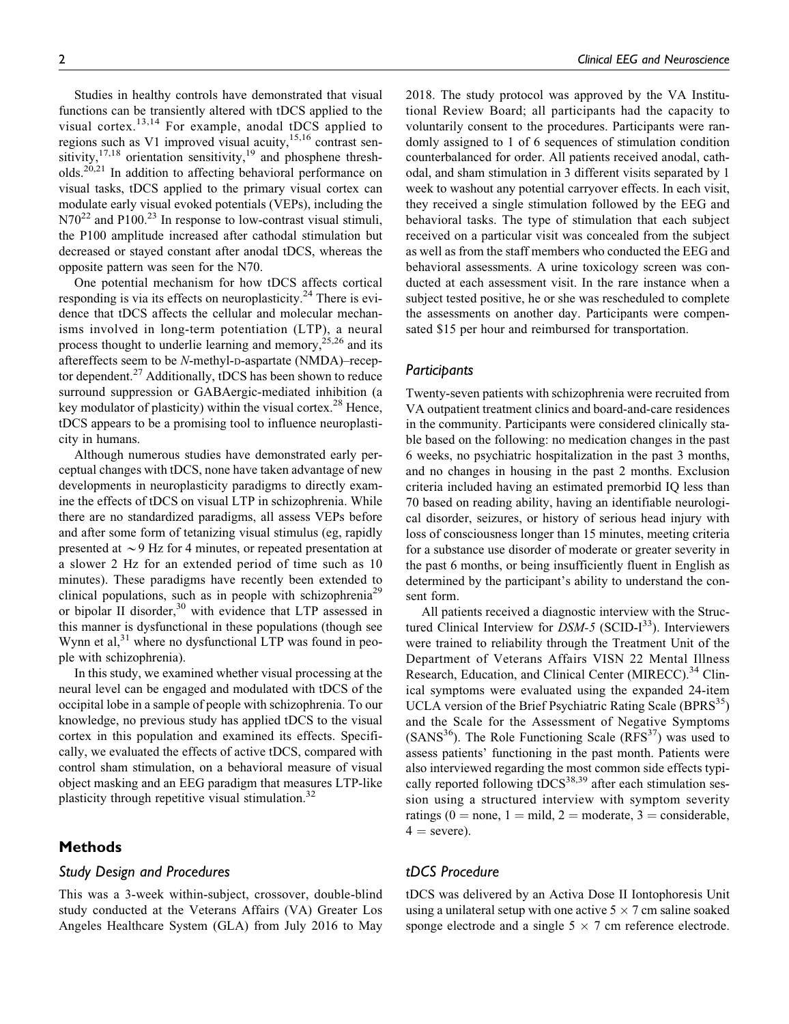Studies in healthy controls have demonstrated that visual functions can be transiently altered with tDCS applied to the visual cortex.<sup>13,14</sup> For example, anodal tDCS applied to regions such as V1 improved visual acuity, $15,16$  contrast sensitivity, $17,18$  orientation sensitivity, $19$  and phosphene thresholds.<sup>20,21</sup> In addition to affecting behavioral performance on visual tasks, tDCS applied to the primary visual cortex can modulate early visual evoked potentials (VEPs), including the  $N70^{22}$  and P100.<sup>23</sup> In response to low-contrast visual stimuli, the P100 amplitude increased after cathodal stimulation but decreased or stayed constant after anodal tDCS, whereas the opposite pattern was seen for the N70.

One potential mechanism for how tDCS affects cortical responding is via its effects on neuroplasticity.<sup>24</sup> There is evidence that tDCS affects the cellular and molecular mechanisms involved in long-term potentiation (LTP), a neural process thought to underlie learning and memory,  $25,26$  and its aftereffects seem to be N-methyl-D-aspartate (NMDA)–receptor dependent.<sup>27</sup> Additionally, tDCS has been shown to reduce surround suppression or GABAergic-mediated inhibition (a key modulator of plasticity) within the visual cortex.<sup>28</sup> Hence, tDCS appears to be a promising tool to influence neuroplasticity in humans.

Although numerous studies have demonstrated early perceptual changes with tDCS, none have taken advantage of new developments in neuroplasticity paradigms to directly examine the effects of tDCS on visual LTP in schizophrenia. While there are no standardized paradigms, all assess VEPs before and after some form of tetanizing visual stimulus (eg, rapidly presented at  $\sim$  9 Hz for 4 minutes, or repeated presentation at a slower 2 Hz for an extended period of time such as 10 minutes). These paradigms have recently been extended to clinical populations, such as in people with schizophrenia<sup>29</sup> or bipolar II disorder,<sup>30</sup> with evidence that LTP assessed in this manner is dysfunctional in these populations (though see Wynn et  $al$ ,<sup>31</sup> where no dysfunctional LTP was found in people with schizophrenia).

In this study, we examined whether visual processing at the neural level can be engaged and modulated with tDCS of the occipital lobe in a sample of people with schizophrenia. To our knowledge, no previous study has applied tDCS to the visual cortex in this population and examined its effects. Specifically, we evaluated the effects of active tDCS, compared with control sham stimulation, on a behavioral measure of visual object masking and an EEG paradigm that measures LTP-like plasticity through repetitive visual stimulation.<sup>32</sup>

# Methods

# Study Design and Procedures

This was a 3-week within-subject, crossover, double-blind study conducted at the Veterans Affairs (VA) Greater Los Angeles Healthcare System (GLA) from July 2016 to May 2018. The study protocol was approved by the VA Institutional Review Board; all participants had the capacity to voluntarily consent to the procedures. Participants were randomly assigned to 1 of 6 sequences of stimulation condition counterbalanced for order. All patients received anodal, cathodal, and sham stimulation in 3 different visits separated by 1 week to washout any potential carryover effects. In each visit, they received a single stimulation followed by the EEG and behavioral tasks. The type of stimulation that each subject received on a particular visit was concealed from the subject as well as from the staff members who conducted the EEG and behavioral assessments. A urine toxicology screen was conducted at each assessment visit. In the rare instance when a subject tested positive, he or she was rescheduled to complete the assessments on another day. Participants were compensated \$15 per hour and reimbursed for transportation.

### **Participants**

Twenty-seven patients with schizophrenia were recruited from VA outpatient treatment clinics and board-and-care residences in the community. Participants were considered clinically stable based on the following: no medication changes in the past 6 weeks, no psychiatric hospitalization in the past 3 months, and no changes in housing in the past 2 months. Exclusion criteria included having an estimated premorbid IQ less than 70 based on reading ability, having an identifiable neurological disorder, seizures, or history of serious head injury with loss of consciousness longer than 15 minutes, meeting criteria for a substance use disorder of moderate or greater severity in the past 6 months, or being insufficiently fluent in English as determined by the participant's ability to understand the consent form.

All patients received a diagnostic interview with the Structured Clinical Interview for  $DSM-5$  (SCID- $I^{33}$ ). Interviewers were trained to reliability through the Treatment Unit of the Department of Veterans Affairs VISN 22 Mental Illness Research, Education, and Clinical Center (MIRECC).<sup>34</sup> Clinical symptoms were evaluated using the expanded 24-item UCLA version of the Brief Psychiatric Rating Scale (BPRS<sup>35</sup>) and the Scale for the Assessment of Negative Symptoms  $(SANS<sup>36</sup>)$ . The Role Functioning Scale  $(RFS<sup>37</sup>)$  was used to assess patients' functioning in the past month. Patients were also interviewed regarding the most common side effects typically reported following tDCS $^{38,39}$  after each stimulation session using a structured interview with symptom severity ratings (0 = none, 1 = mild, 2 = moderate, 3 = considerable,  $4 =$  severe).

# tDCS Procedure

tDCS was delivered by an Activa Dose II Iontophoresis Unit using a unilateral setup with one active  $5 \times 7$  cm saline soaked sponge electrode and a single  $5 \times 7$  cm reference electrode.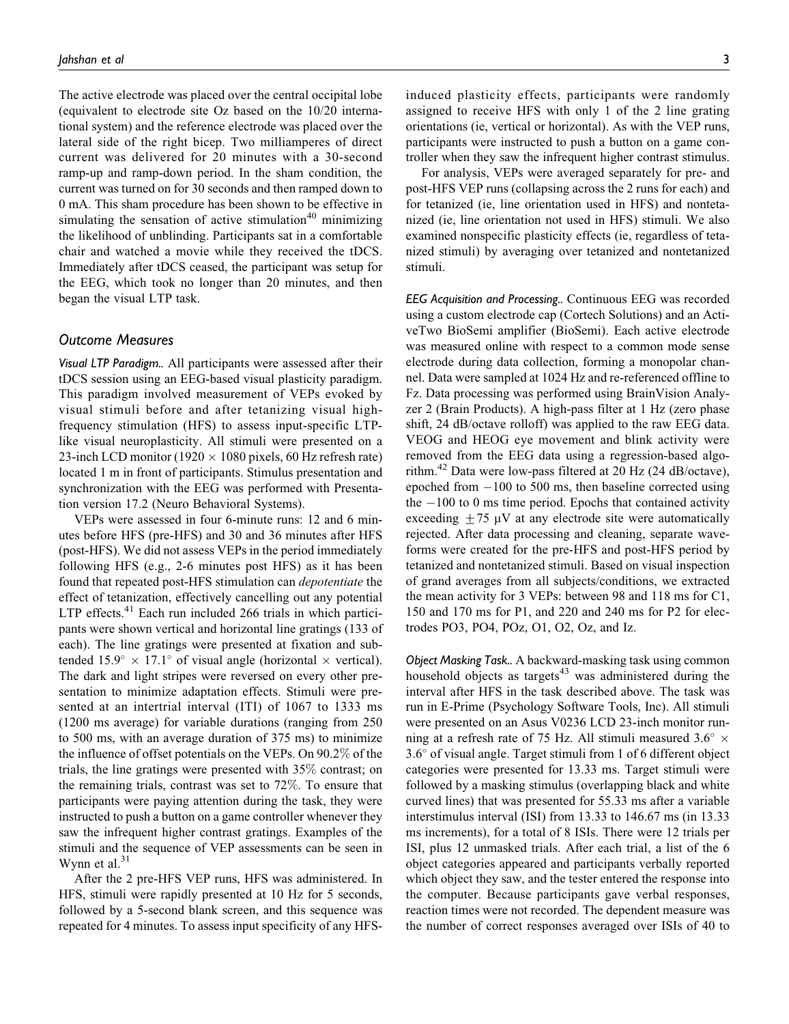The active electrode was placed over the central occipital lobe (equivalent to electrode site Oz based on the 10/20 international system) and the reference electrode was placed over the lateral side of the right bicep. Two milliamperes of direct current was delivered for 20 minutes with a 30-second ramp-up and ramp-down period. In the sham condition, the current was turned on for 30 seconds and then ramped down to 0 mA. This sham procedure has been shown to be effective in simulating the sensation of active stimulation $40$  minimizing the likelihood of unblinding. Participants sat in a comfortable chair and watched a movie while they received the tDCS. Immediately after tDCS ceased, the participant was setup for the EEG, which took no longer than 20 minutes, and then began the visual LTP task.

## Outcome Measures

Visual LTP Paradigm.. All participants were assessed after their tDCS session using an EEG-based visual plasticity paradigm. This paradigm involved measurement of VEPs evoked by visual stimuli before and after tetanizing visual highfrequency stimulation (HFS) to assess input-specific LTPlike visual neuroplasticity. All stimuli were presented on a 23-inch LCD monitor (1920  $\times$  1080 pixels, 60 Hz refresh rate) located 1 m in front of participants. Stimulus presentation and synchronization with the EEG was performed with Presentation version 17.2 (Neuro Behavioral Systems).

VEPs were assessed in four 6-minute runs: 12 and 6 minutes before HFS (pre-HFS) and 30 and 36 minutes after HFS (post-HFS). We did not assess VEPs in the period immediately following HFS (e.g., 2-6 minutes post HFS) as it has been found that repeated post-HFS stimulation can depotentiate the effect of tetanization, effectively cancelling out any potential LTP effects. $41$  Each run included 266 trials in which participants were shown vertical and horizontal line gratings (133 of each). The line gratings were presented at fixation and subtended  $15.9^{\circ} \times 17.1^{\circ}$  of visual angle (horizontal  $\times$  vertical). The dark and light stripes were reversed on every other presentation to minimize adaptation effects. Stimuli were presented at an intertrial interval (ITI) of 1067 to 1333 ms (1200 ms average) for variable durations (ranging from 250 to 500 ms, with an average duration of 375 ms) to minimize the influence of offset potentials on the VEPs. On 90.2% of the trials, the line gratings were presented with 35% contrast; on the remaining trials, contrast was set to 72%. To ensure that participants were paying attention during the task, they were instructed to push a button on a game controller whenever they saw the infrequent higher contrast gratings. Examples of the stimuli and the sequence of VEP assessments can be seen in Wynn et al. $31$ 

After the 2 pre-HFS VEP runs, HFS was administered. In HFS, stimuli were rapidly presented at 10 Hz for 5 seconds, followed by a 5-second blank screen, and this sequence was repeated for 4 minutes. To assess input specificity of any HFS- induced plasticity effects, participants were randomly assigned to receive HFS with only 1 of the 2 line grating orientations (ie, vertical or horizontal). As with the VEP runs, participants were instructed to push a button on a game controller when they saw the infrequent higher contrast stimulus.

For analysis, VEPs were averaged separately for pre- and post-HFS VEP runs (collapsing across the 2 runs for each) and for tetanized (ie, line orientation used in HFS) and nontetanized (ie, line orientation not used in HFS) stimuli. We also examined nonspecific plasticity effects (ie, regardless of tetanized stimuli) by averaging over tetanized and nontetanized stimuli.

EEG Acquisition and Processing.. Continuous EEG was recorded using a custom electrode cap (Cortech Solutions) and an ActiveTwo BioSemi amplifier (BioSemi). Each active electrode was measured online with respect to a common mode sense electrode during data collection, forming a monopolar channel. Data were sampled at 1024 Hz and re-referenced offline to Fz. Data processing was performed using BrainVision Analyzer 2 (Brain Products). A high-pass filter at 1 Hz (zero phase shift, 24 dB/octave rolloff) was applied to the raw EEG data. VEOG and HEOG eye movement and blink activity were removed from the EEG data using a regression-based algorithm.<sup>42</sup> Data were low-pass filtered at 20 Hz (24 dB/octave), epoched from  $-100$  to 500 ms, then baseline corrected using the  $-100$  to 0 ms time period. Epochs that contained activity exceeding  $\pm$  75 µV at any electrode site were automatically rejected. After data processing and cleaning, separate waveforms were created for the pre-HFS and post-HFS period by tetanized and nontetanized stimuli. Based on visual inspection of grand averages from all subjects/conditions, we extracted the mean activity for 3 VEPs: between 98 and 118 ms for C1, 150 and 170 ms for P1, and 220 and 240 ms for P2 for electrodes PO3, PO4, POz, O1, O2, Oz, and Iz.

Object Masking Task.. A backward-masking task using common household objects as targets $43$  was administered during the interval after HFS in the task described above. The task was run in E-Prime (Psychology Software Tools, Inc). All stimuli were presented on an Asus V0236 LCD 23-inch monitor running at a refresh rate of 75 Hz. All stimuli measured 3.6°  $\times$ 3.6 of visual angle. Target stimuli from 1 of 6 different object categories were presented for 13.33 ms. Target stimuli were followed by a masking stimulus (overlapping black and white curved lines) that was presented for 55.33 ms after a variable interstimulus interval (ISI) from 13.33 to 146.67 ms (in 13.33 ms increments), for a total of 8 ISIs. There were 12 trials per ISI, plus 12 unmasked trials. After each trial, a list of the 6 object categories appeared and participants verbally reported which object they saw, and the tester entered the response into the computer. Because participants gave verbal responses, reaction times were not recorded. The dependent measure was the number of correct responses averaged over ISIs of 40 to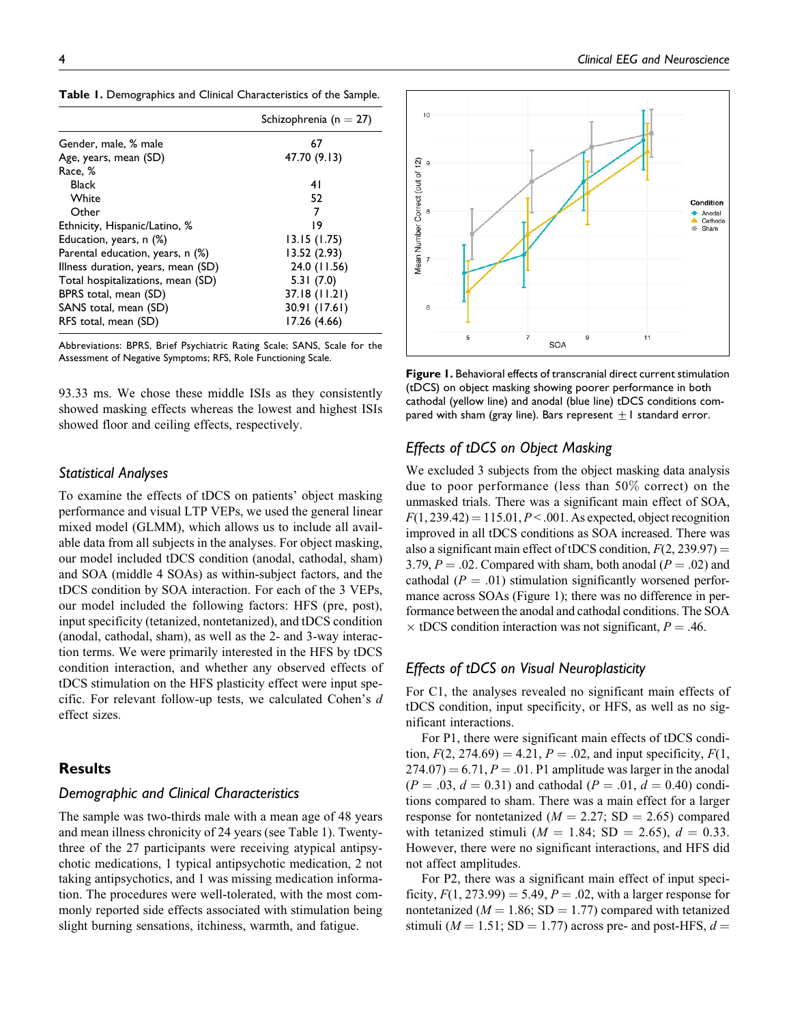| Table 1. Demographics and Clinical Characteristics of the Sample. |  |  |  |  |
|-------------------------------------------------------------------|--|--|--|--|
|-------------------------------------------------------------------|--|--|--|--|

|                                    | Schizophrenia (n = 27) |
|------------------------------------|------------------------|
| Gender, male, % male               | 67                     |
| Age, years, mean (SD)              | 47.70 (9.13)           |
| Race, %                            |                        |
| <b>Black</b>                       | 41                     |
| White                              | 52                     |
| Other                              | 7                      |
| Ethnicity, Hispanic/Latino, %      | 19                     |
| Education, years, n (%)            | 13.15(1.75)            |
| Parental education, years, n (%)   | 13.52 (2.93)           |
| Illness duration, years, mean (SD) | 24.0 (11.56)           |
| Total hospitalizations, mean (SD)  | 5.31(7.0)              |
| BPRS total, mean (SD)              | 37.18 (11.21)          |
| SANS total, mean (SD)              | 30.91 (17.61)          |
| RFS total, mean (SD)               | 17.26 (4.66)           |

Abbreviations: BPRS, Brief Psychiatric Rating Scale; SANS, Scale for the Assessment of Negative Symptoms; RFS, Role Functioning Scale.

93.33 ms. We chose these middle ISIs as they consistently showed masking effects whereas the lowest and highest ISIs showed floor and ceiling effects, respectively.

## Statistical Analyses

To examine the effects of tDCS on patients' object masking performance and visual LTP VEPs, we used the general linear mixed model (GLMM), which allows us to include all available data from all subjects in the analyses. For object masking, our model included tDCS condition (anodal, cathodal, sham) and SOA (middle 4 SOAs) as within-subject factors, and the tDCS condition by SOA interaction. For each of the 3 VEPs, our model included the following factors: HFS (pre, post), input specificity (tetanized, nontetanized), and tDCS condition (anodal, cathodal, sham), as well as the 2- and 3-way interaction terms. We were primarily interested in the HFS by tDCS condition interaction, and whether any observed effects of tDCS stimulation on the HFS plasticity effect were input specific. For relevant follow-up tests, we calculated Cohen's d effect sizes.

# **Results**

## Demographic and Clinical Characteristics

The sample was two-thirds male with a mean age of 48 years and mean illness chronicity of 24 years (see Table 1). Twentythree of the 27 participants were receiving atypical antipsychotic medications, 1 typical antipsychotic medication, 2 not taking antipsychotics, and 1 was missing medication information. The procedures were well-tolerated, with the most commonly reported side effects associated with stimulation being slight burning sensations, itchiness, warmth, and fatigue.



Figure 1. Behavioral effects of transcranial direct current stimulation (tDCS) on object masking showing poorer performance in both cathodal (yellow line) and anodal (blue line) tDCS conditions compared with sham (gray line). Bars represent  $\pm 1$  standard error.

# Effects of tDCS on Object Masking

We excluded 3 subjects from the object masking data analysis due to poor performance (less than 50% correct) on the unmasked trials. There was a significant main effect of SOA,  $F(1, 239.42) = 115.01, P < .001$ . As expected, object recognition improved in all tDCS conditions as SOA increased. There was also a significant main effect of tDCS condition,  $F(2, 239.97) =$ 3.79,  $P = .02$ . Compared with sham, both anodal ( $P = .02$ ) and cathodal ( $P = .01$ ) stimulation significantly worsened performance across SOAs (Figure 1); there was no difference in performance between the anodal and cathodal conditions. The SOA  $\times$  tDCS condition interaction was not significant,  $P = .46$ .

# Effects of tDCS on Visual Neuroplasticity

For C1, the analyses revealed no significant main effects of tDCS condition, input specificity, or HFS, as well as no significant interactions.

For P1, there were significant main effects of tDCS condition,  $F(2, 274.69) = 4.21$ ,  $P = .02$ , and input specificity,  $F(1, 1)$  $274.07$ ) = 6.71, P = .01. P1 amplitude was larger in the anodal  $(P = .03, d = 0.31)$  and cathodal  $(P = .01, d = 0.40)$  conditions compared to sham. There was a main effect for a larger response for nontetanized ( $M = 2.27$ ; SD = 2.65) compared with tetanized stimuli ( $M = 1.84$ ; SD = 2.65),  $d = 0.33$ . However, there were no significant interactions, and HFS did not affect amplitudes.

For P2, there was a significant main effect of input specificity,  $F(1, 273.99) = 5.49$ ,  $P = .02$ , with a larger response for nontetanized ( $M = 1.86$ ; SD = 1.77) compared with tetanized stimuli ( $M = 1.51$ ; SD = 1.77) across pre- and post-HFS,  $d =$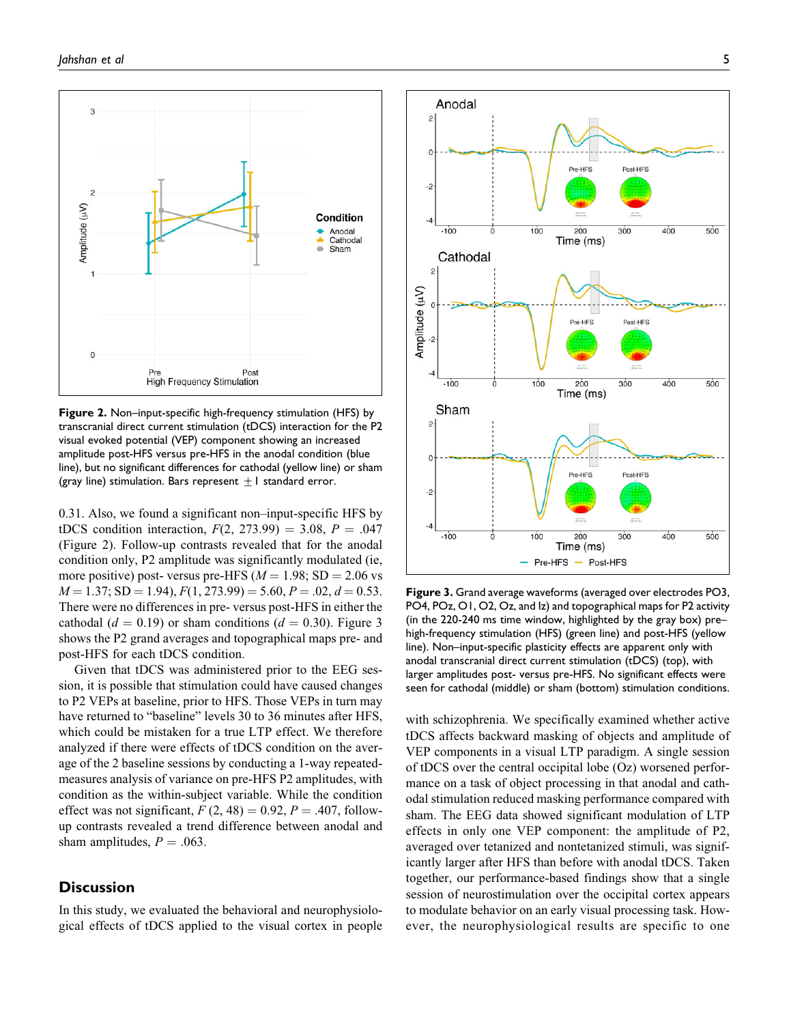

Figure 2. Non–input-specific high-frequency stimulation (HFS) by transcranial direct current stimulation (tDCS) interaction for the P2 visual evoked potential (VEP) component showing an increased amplitude post-HFS versus pre-HFS in the anodal condition (blue line), but no significant differences for cathodal (yellow line) or sham (gray line) stimulation. Bars represent  $\pm 1$  standard error.

0.31. Also, we found a significant non–input-specific HFS by tDCS condition interaction,  $F(2, 273.99) = 3.08, P = .047$ (Figure 2). Follow-up contrasts revealed that for the anodal condition only, P2 amplitude was significantly modulated (ie, more positive) post- versus pre-HFS ( $M = 1.98$ ; SD = 2.06 vs  $M = 1.37$ ; SD = 1.94),  $F(1, 273.99) = 5.60$ ,  $P = .02$ ,  $d = 0.53$ . There were no differences in pre- versus post-HFS in either the cathodal ( $d = 0.19$ ) or sham conditions ( $d = 0.30$ ). Figure 3 shows the P2 grand averages and topographical maps pre- and post-HFS for each tDCS condition.

Given that tDCS was administered prior to the EEG session, it is possible that stimulation could have caused changes to P2 VEPs at baseline, prior to HFS. Those VEPs in turn may have returned to "baseline" levels 30 to 36 minutes after HFS, which could be mistaken for a true LTP effect. We therefore analyzed if there were effects of tDCS condition on the average of the 2 baseline sessions by conducting a 1-way repeatedmeasures analysis of variance on pre-HFS P2 amplitudes, with condition as the within-subject variable. While the condition effect was not significant,  $F(2, 48) = 0.92$ ,  $P = .407$ , followup contrasts revealed a trend difference between anodal and sham amplitudes,  $P = .063$ .

# **Discussion**

In this study, we evaluated the behavioral and neurophysiological effects of tDCS applied to the visual cortex in people



Figure 3. Grand average waveforms (averaged over electrodes PO3, PO4, POz, O1, O2, Oz, and Iz) and topographical maps for P2 activity (in the 220-240 ms time window, highlighted by the gray box) pre– high-frequency stimulation (HFS) (green line) and post-HFS (yellow line). Non–input-specific plasticity effects are apparent only with anodal transcranial direct current stimulation (tDCS) (top), with larger amplitudes post- versus pre-HFS. No significant effects were seen for cathodal (middle) or sham (bottom) stimulation conditions.

with schizophrenia. We specifically examined whether active tDCS affects backward masking of objects and amplitude of VEP components in a visual LTP paradigm. A single session of tDCS over the central occipital lobe (Oz) worsened performance on a task of object processing in that anodal and cathodal stimulation reduced masking performance compared with sham. The EEG data showed significant modulation of LTP effects in only one VEP component: the amplitude of P2, averaged over tetanized and nontetanized stimuli, was significantly larger after HFS than before with anodal tDCS. Taken together, our performance-based findings show that a single session of neurostimulation over the occipital cortex appears to modulate behavior on an early visual processing task. However, the neurophysiological results are specific to one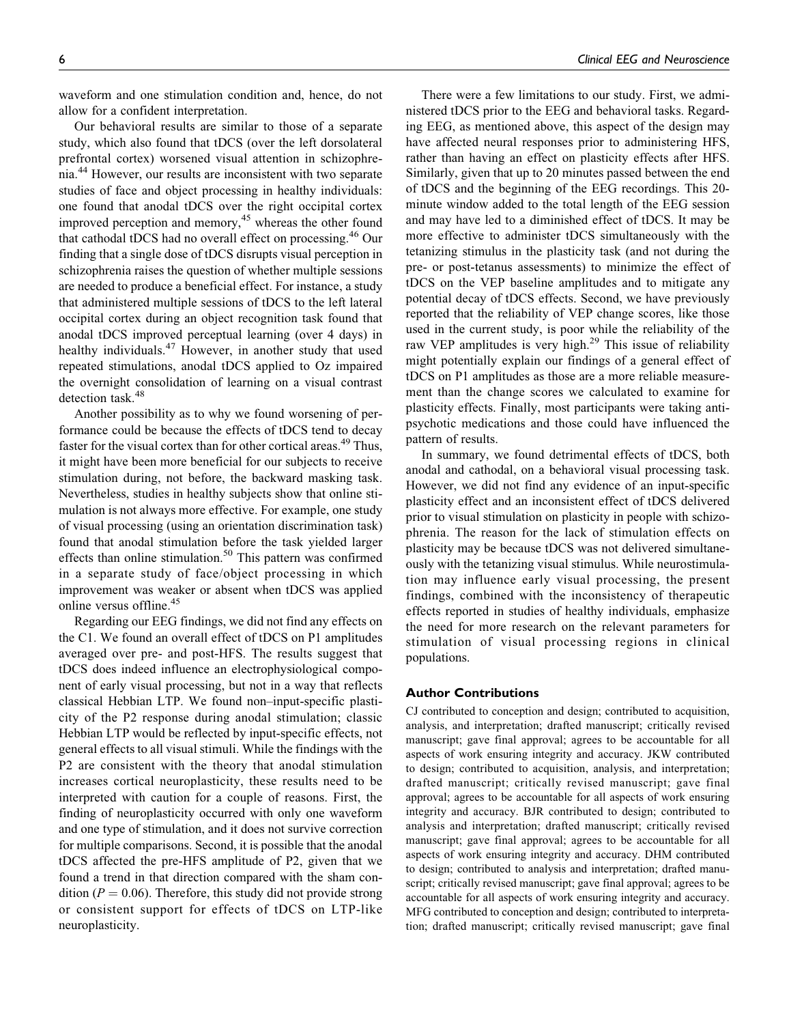waveform and one stimulation condition and, hence, do not allow for a confident interpretation.

Our behavioral results are similar to those of a separate study, which also found that tDCS (over the left dorsolateral prefrontal cortex) worsened visual attention in schizophrenia.<sup>44</sup> However, our results are inconsistent with two separate studies of face and object processing in healthy individuals: one found that anodal tDCS over the right occipital cortex improved perception and memory,<sup>45</sup> whereas the other found that cathodal tDCS had no overall effect on processing.<sup>46</sup> Our finding that a single dose of tDCS disrupts visual perception in schizophrenia raises the question of whether multiple sessions are needed to produce a beneficial effect. For instance, a study that administered multiple sessions of tDCS to the left lateral occipital cortex during an object recognition task found that anodal tDCS improved perceptual learning (over 4 days) in healthy individuals.<sup>47</sup> However, in another study that used repeated stimulations, anodal tDCS applied to Oz impaired the overnight consolidation of learning on a visual contrast detection task.<sup>48</sup>

Another possibility as to why we found worsening of performance could be because the effects of tDCS tend to decay faster for the visual cortex than for other cortical areas.<sup>49</sup> Thus, it might have been more beneficial for our subjects to receive stimulation during, not before, the backward masking task. Nevertheless, studies in healthy subjects show that online stimulation is not always more effective. For example, one study of visual processing (using an orientation discrimination task) found that anodal stimulation before the task yielded larger effects than online stimulation.<sup>50</sup> This pattern was confirmed in a separate study of face/object processing in which improvement was weaker or absent when tDCS was applied online versus offline.<sup>45</sup>

Regarding our EEG findings, we did not find any effects on the C1. We found an overall effect of tDCS on P1 amplitudes averaged over pre- and post-HFS. The results suggest that tDCS does indeed influence an electrophysiological component of early visual processing, but not in a way that reflects classical Hebbian LTP. We found non–input-specific plasticity of the P2 response during anodal stimulation; classic Hebbian LTP would be reflected by input-specific effects, not general effects to all visual stimuli. While the findings with the P2 are consistent with the theory that anodal stimulation increases cortical neuroplasticity, these results need to be interpreted with caution for a couple of reasons. First, the finding of neuroplasticity occurred with only one waveform and one type of stimulation, and it does not survive correction for multiple comparisons. Second, it is possible that the anodal tDCS affected the pre-HFS amplitude of P2, given that we found a trend in that direction compared with the sham condition ( $P = 0.06$ ). Therefore, this study did not provide strong or consistent support for effects of tDCS on LTP-like neuroplasticity.

There were a few limitations to our study. First, we administered tDCS prior to the EEG and behavioral tasks. Regarding EEG, as mentioned above, this aspect of the design may have affected neural responses prior to administering HFS, rather than having an effect on plasticity effects after HFS. Similarly, given that up to 20 minutes passed between the end of tDCS and the beginning of the EEG recordings. This 20 minute window added to the total length of the EEG session and may have led to a diminished effect of tDCS. It may be more effective to administer tDCS simultaneously with the tetanizing stimulus in the plasticity task (and not during the pre- or post-tetanus assessments) to minimize the effect of tDCS on the VEP baseline amplitudes and to mitigate any potential decay of tDCS effects. Second, we have previously reported that the reliability of VEP change scores, like those used in the current study, is poor while the reliability of the raw VEP amplitudes is very high.<sup>29</sup> This issue of reliability might potentially explain our findings of a general effect of tDCS on P1 amplitudes as those are a more reliable measurement than the change scores we calculated to examine for plasticity effects. Finally, most participants were taking antipsychotic medications and those could have influenced the pattern of results.

In summary, we found detrimental effects of tDCS, both anodal and cathodal, on a behavioral visual processing task. However, we did not find any evidence of an input-specific plasticity effect and an inconsistent effect of tDCS delivered prior to visual stimulation on plasticity in people with schizophrenia. The reason for the lack of stimulation effects on plasticity may be because tDCS was not delivered simultaneously with the tetanizing visual stimulus. While neurostimulation may influence early visual processing, the present findings, combined with the inconsistency of therapeutic effects reported in studies of healthy individuals, emphasize the need for more research on the relevant parameters for stimulation of visual processing regions in clinical populations.

#### Author Contributions

CJ contributed to conception and design; contributed to acquisition, analysis, and interpretation; drafted manuscript; critically revised manuscript; gave final approval; agrees to be accountable for all aspects of work ensuring integrity and accuracy. JKW contributed to design; contributed to acquisition, analysis, and interpretation; drafted manuscript; critically revised manuscript; gave final approval; agrees to be accountable for all aspects of work ensuring integrity and accuracy. BJR contributed to design; contributed to analysis and interpretation; drafted manuscript; critically revised manuscript; gave final approval; agrees to be accountable for all aspects of work ensuring integrity and accuracy. DHM contributed to design; contributed to analysis and interpretation; drafted manuscript; critically revised manuscript; gave final approval; agrees to be accountable for all aspects of work ensuring integrity and accuracy. MFG contributed to conception and design; contributed to interpretation; drafted manuscript; critically revised manuscript; gave final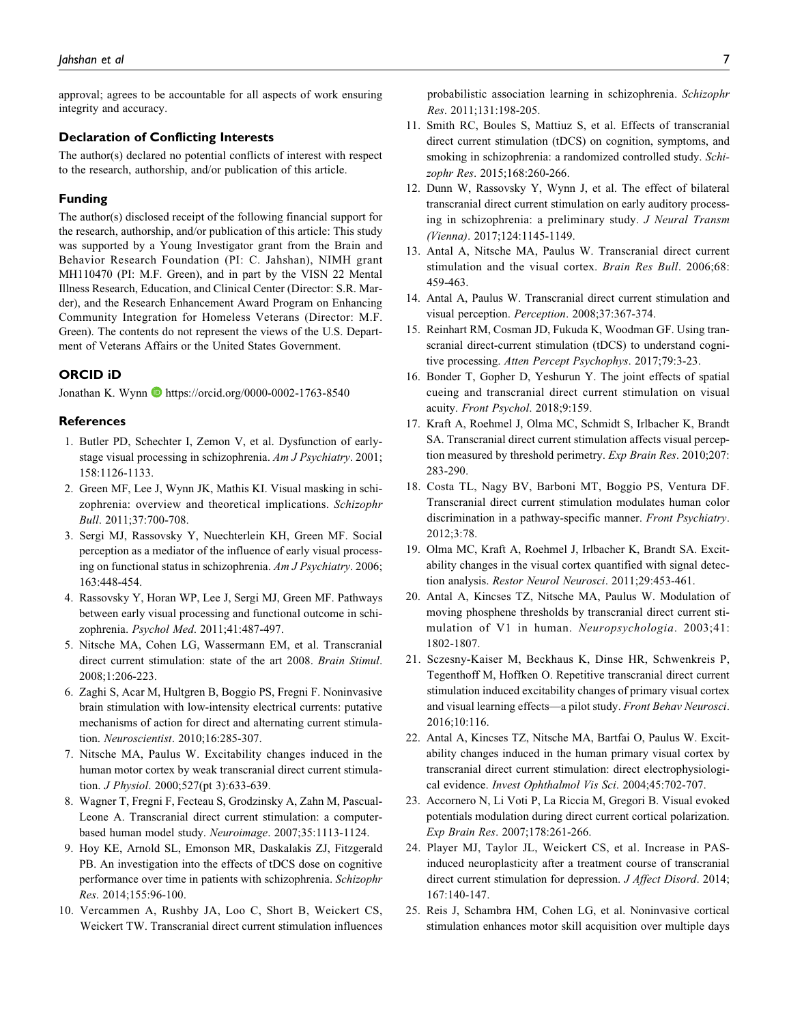approval; agrees to be accountable for all aspects of work ensuring integrity and accuracy.

#### Declaration of Conflicting Interests

The author(s) declared no potential conflicts of interest with respect to the research, authorship, and/or publication of this article.

#### Funding

The author(s) disclosed receipt of the following financial support for the research, authorship, and/or publication of this article: This study was supported by a Young Investigator grant from the Brain and Behavior Research Foundation (PI: C. Jahshan), NIMH grant MH110470 (PI: M.F. Green), and in part by the VISN 22 Mental Illness Research, Education, and Clinical Center (Director: S.R. Marder), and the Research Enhancement Award Program on Enhancing Community Integration for Homeless Veterans (Director: M.F. Green). The contents do not represent the views of the U.S. Department of Veterans Affairs or the United States Government.

### ORCID iD

Jonathan K. Wynn <https://orcid.org/0000-0002-1763-8540>

#### **References**

- 1. Butler PD, Schechter I, Zemon V, et al. Dysfunction of earlystage visual processing in schizophrenia. Am J Psychiatry. 2001; 158:1126-1133.
- 2. Green MF, Lee J, Wynn JK, Mathis KI. Visual masking in schizophrenia: overview and theoretical implications. Schizophr Bull. 2011;37:700-708.
- 3. Sergi MJ, Rassovsky Y, Nuechterlein KH, Green MF. Social perception as a mediator of the influence of early visual processing on functional status in schizophrenia. Am J Psychiatry. 2006; 163:448-454.
- 4. Rassovsky Y, Horan WP, Lee J, Sergi MJ, Green MF. Pathways between early visual processing and functional outcome in schizophrenia. Psychol Med. 2011;41:487-497.
- 5. Nitsche MA, Cohen LG, Wassermann EM, et al. Transcranial direct current stimulation: state of the art 2008. Brain Stimul. 2008;1:206-223.
- 6. Zaghi S, Acar M, Hultgren B, Boggio PS, Fregni F. Noninvasive brain stimulation with low-intensity electrical currents: putative mechanisms of action for direct and alternating current stimulation. Neuroscientist. 2010;16:285-307.
- 7. Nitsche MA, Paulus W. Excitability changes induced in the human motor cortex by weak transcranial direct current stimulation. J Physiol. 2000;527(pt 3):633-639.
- 8. Wagner T, Fregni F, Fecteau S, Grodzinsky A, Zahn M, Pascual-Leone A. Transcranial direct current stimulation: a computerbased human model study. Neuroimage. 2007;35:1113-1124.
- 9. Hoy KE, Arnold SL, Emonson MR, Daskalakis ZJ, Fitzgerald PB. An investigation into the effects of tDCS dose on cognitive performance over time in patients with schizophrenia. Schizophr Res. 2014;155:96-100.
- 10. Vercammen A, Rushby JA, Loo C, Short B, Weickert CS, Weickert TW. Transcranial direct current stimulation influences

probabilistic association learning in schizophrenia. Schizophr Res. 2011;131:198-205.

- 11. Smith RC, Boules S, Mattiuz S, et al. Effects of transcranial direct current stimulation (tDCS) on cognition, symptoms, and smoking in schizophrenia: a randomized controlled study. Schizophr Res. 2015;168:260-266.
- 12. Dunn W, Rassovsky Y, Wynn J, et al. The effect of bilateral transcranial direct current stimulation on early auditory processing in schizophrenia: a preliminary study. J Neural Transm (Vienna). 2017;124:1145-1149.
- 13. Antal A, Nitsche MA, Paulus W. Transcranial direct current stimulation and the visual cortex. Brain Res Bull. 2006;68: 459-463.
- 14. Antal A, Paulus W. Transcranial direct current stimulation and visual perception. Perception. 2008;37:367-374.
- 15. Reinhart RM, Cosman JD, Fukuda K, Woodman GF. Using transcranial direct-current stimulation (tDCS) to understand cognitive processing. Atten Percept Psychophys. 2017;79:3-23.
- 16. Bonder T, Gopher D, Yeshurun Y. The joint effects of spatial cueing and transcranial direct current stimulation on visual acuity. Front Psychol. 2018;9:159.
- 17. Kraft A, Roehmel J, Olma MC, Schmidt S, Irlbacher K, Brandt SA. Transcranial direct current stimulation affects visual perception measured by threshold perimetry. Exp Brain Res. 2010;207: 283-290.
- 18. Costa TL, Nagy BV, Barboni MT, Boggio PS, Ventura DF. Transcranial direct current stimulation modulates human color discrimination in a pathway-specific manner. Front Psychiatry. 2012;3:78.
- 19. Olma MC, Kraft A, Roehmel J, Irlbacher K, Brandt SA. Excitability changes in the visual cortex quantified with signal detection analysis. Restor Neurol Neurosci. 2011;29:453-461.
- 20. Antal A, Kincses TZ, Nitsche MA, Paulus W. Modulation of moving phosphene thresholds by transcranial direct current stimulation of V1 in human. Neuropsychologia. 2003;41: 1802-1807.
- 21. Sczesny-Kaiser M, Beckhaus K, Dinse HR, Schwenkreis P, Tegenthoff M, Hoffken O. Repetitive transcranial direct current stimulation induced excitability changes of primary visual cortex and visual learning effects—a pilot study. Front Behav Neurosci. 2016;10:116.
- 22. Antal A, Kincses TZ, Nitsche MA, Bartfai O, Paulus W. Excitability changes induced in the human primary visual cortex by transcranial direct current stimulation: direct electrophysiological evidence. Invest Ophthalmol Vis Sci. 2004;45:702-707.
- 23. Accornero N, Li Voti P, La Riccia M, Gregori B. Visual evoked potentials modulation during direct current cortical polarization. Exp Brain Res. 2007;178:261-266.
- 24. Player MJ, Taylor JL, Weickert CS, et al. Increase in PASinduced neuroplasticity after a treatment course of transcranial direct current stimulation for depression. J Affect Disord. 2014; 167:140-147.
- 25. Reis J, Schambra HM, Cohen LG, et al. Noninvasive cortical stimulation enhances motor skill acquisition over multiple days